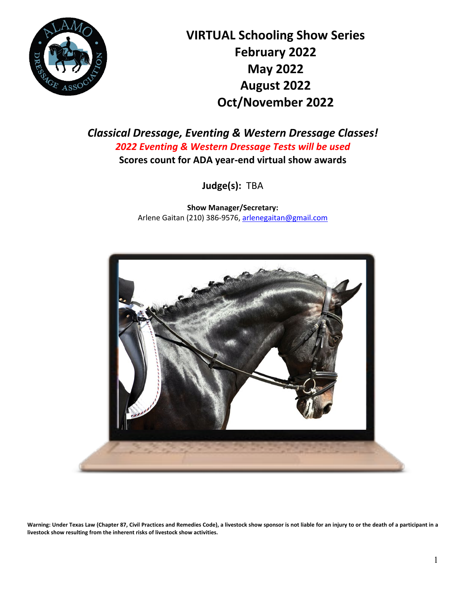

**VIRTUAL Schooling Show Series February 2022 May 2022 August 2022 Oct/November 2022**

*Classical Dressage, Eventing & Western Dressage Classes! 2022 Eventing & Western Dressage Tests will be used* **Scores count for ADA year-end virtual show awards**

**Judge(s):** TBA

**Show Manager/Secretary:** Arlene Gaitan (210) 386-9576[, arlenegaitan@gmail.com](mailto:arlenegaitan@gmail.com)



**Warning: Under Texas Law (Chapter 87, Civil Practices and Remedies Code), a livestock show sponsor is not liable for an injury to or the death of a participant in a livestock show resulting from the inherent risks of livestock show activities.**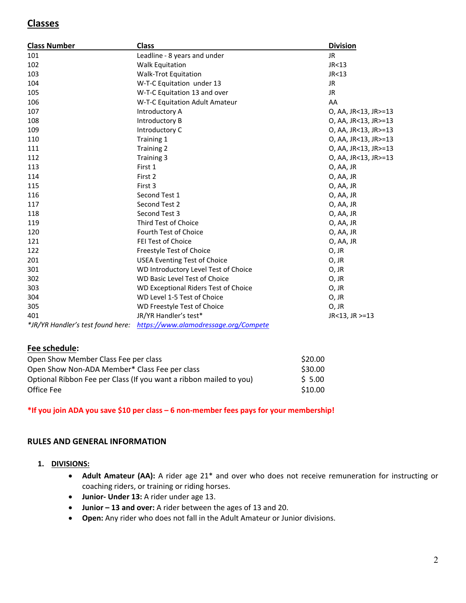# **Classes**

| <b>Class Number</b>               | <b>Class</b>                          | <b>Division</b>      |
|-----------------------------------|---------------------------------------|----------------------|
| 101                               | Leadline - 8 years and under          | <b>JR</b>            |
| 102                               | <b>Walk Equitation</b>                | JR<13                |
| 103                               | <b>Walk-Trot Equitation</b>           | JR <sub>13</sub>     |
| 104                               | W-T-C Equitation under 13             | JR                   |
| 105                               | W-T-C Equitation 13 and over          | <b>JR</b>            |
| 106                               | W-T-C Equitation Adult Amateur        | AA                   |
| 107                               | Introductory A                        | O, AA, JR<13, JR>=13 |
| 108                               | Introductory B                        | O, AA, JR<13, JR>=13 |
| 109                               | Introductory C                        | O, AA, JR<13, JR>=13 |
| 110                               | Training 1                            | O, AA, JR<13, JR>=13 |
| 111                               | Training 2                            | O, AA, JR<13, JR>=13 |
| 112                               | Training 3                            | O, AA, JR<13, JR>=13 |
| 113                               | First 1                               | O, AA, JR            |
| 114                               | First 2                               | O, AA, JR            |
| 115                               | First 3                               | O, AA, JR            |
| 116                               | Second Test 1                         | O, AA, JR            |
| 117                               | Second Test 2                         | O, AA, JR            |
| 118                               | Second Test 3                         | O, AA, JR            |
| 119                               | Third Test of Choice                  | O, AA, JR            |
| 120                               | <b>Fourth Test of Choice</b>          | O, AA, JR            |
| 121                               | <b>FEI Test of Choice</b>             | O, AA, JR            |
| 122                               | Freestyle Test of Choice              | O, JR                |
| 201                               | <b>USEA Eventing Test of Choice</b>   | O, JR                |
| 301                               | WD Introductory Level Test of Choice  | O, JR                |
| 302                               | WD Basic Level Test of Choice         | O, JR                |
| 303                               | WD Exceptional Riders Test of Choice  | O, JR                |
| 304                               | WD Level 1-5 Test of Choice           | O, JR                |
| 305                               | WD Freestyle Test of Choice           | O, JR                |
| 401                               | JR/YR Handler's test*                 | JR<13, JR >=13       |
| *JR/YR Handler's test found here: | https://www.alamodressage.org/Compete |                      |

### **Fee schedule:**

| Open Show Member Class Fee per class                               | \$20.00 |
|--------------------------------------------------------------------|---------|
| Open Show Non-ADA Member* Class Fee per class                      | \$30.00 |
| Optional Ribbon Fee per Class (If you want a ribbon mailed to you) | \$ 5.00 |
| Office Fee                                                         | \$10.00 |

#### **\*If you join ADA you save \$10 per class – 6 non-member fees pays for your membership!**

#### **RULES AND GENERAL INFORMATION**

#### **1. DIVISIONS:**

- **Adult Amateur (AA):** A rider age 21\* and over who does not receive remuneration for instructing or coaching riders, or training or riding horses.
- **Junior- Under 13:** A rider under age 13.
- **Junior – 13 and over:** A rider between the ages of 13 and 20.
- **Open:** Any rider who does not fall in the Adult Amateur or Junior divisions.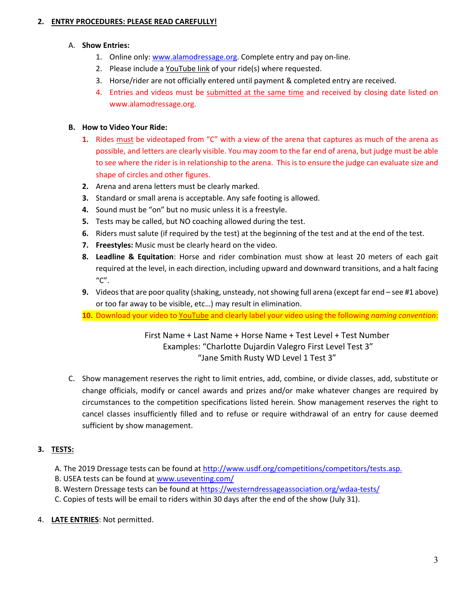#### **2. ENTRY PROCEDURES: PLEASE READ CAREFULLY!**

#### A. **Show Entries:**

- 1. Online only: [www.alamodressage.org.](http://www.alamodressage.org/) Complete entry and pay on-line.
- 2. Please include a YouTube link of your ride(s) where requested.
- 3. Horse/rider are not officially entered until payment & completed entry are received.
- 4. Entries and videos must be submitted at the same time and received by closing date listed on www.alamodressage.org.

### **B. How to Video Your Ride:**

- **1.** Rides must be videotaped from "C" with a view of the arena that captures as much of the arena as possible, and letters are clearly visible. You may zoom to the far end of arena, but judge must be able to see where the rider is in relationship to the arena. This is to ensure the judge can evaluate size and shape of circles and other figures.
- **2.** Arena and arena letters must be clearly marked.
- **3.** Standard or small arena is acceptable. Any safe footing is allowed.
- **4.** Sound must be "on" but no music unless it is a freestyle.
- **5.** Tests may be called, but NO coaching allowed during the test.
- **6.** Riders must salute (if required by the test) at the beginning of the test and at the end of the test.
- **7. Freestyles:** Music must be clearly heard on the video.
- **8. Leadline & Equitation**: Horse and rider combination must show at least 20 meters of each gait required at the level, in each direction, including upward and downward transitions, and a halt facing "C".
- **9.** Videos that are poor quality (shaking, unsteady, not showing full arena (except far end see #1 above) or too far away to be visible, etc…) may result in elimination.
- **10.** Download your video to [YouTube](https://www.youtube.com/) and clearly label your video using the following *naming convention*:

First Name + Last Name + Horse Name + Test Level + Test Number Examples: "Charlotte Dujardin Valegro First Level Test 3" "Jane Smith Rusty WD Level 1 Test 3"

C. Show management reserves the right to limit entries, add, combine, or divide classes, add, substitute or change officials, modify or cancel awards and prizes and/or make whatever changes are required by circumstances to the competition specifications listed herein. Show management reserves the right to cancel classes insufficiently filled and to refuse or require withdrawal of an entry for cause deemed sufficient by show management.

# **3. TESTS:**

- A. The 2019 Dressage tests can be found at [http://www.usdf.org/competitions/competitors/tests.asp.](http://www.usdf.org/competitions/competitors/tests.asp)
- B. USEA tests can be found at [www.useventing.com/](http://www.useventing.com/)
- B. Western Dressage tests can be found at<https://westerndressageassociation.org/wdaa-tests/>
- C. Copies of tests will be email to riders within 30 days after the end of the show (July 31).
- 4. **LATE ENTRIES**: Not permitted.